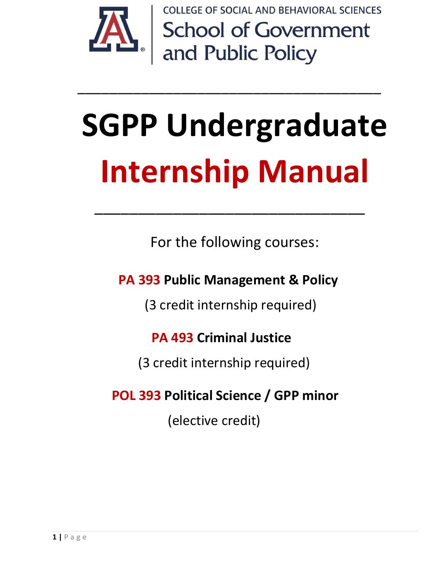

**COLLEGE OF SOCIAL AND BEHAVIORAL SCIENCES School of Government<br>and Public Policy** 

# **SGPP Undergraduate Internship Manual**

\_\_\_\_\_\_\_\_\_\_\_\_\_\_\_\_\_\_\_\_\_\_\_\_\_\_\_\_\_\_\_\_\_\_\_\_\_\_

For the following courses:

\_\_\_\_\_\_\_\_\_\_\_\_\_\_\_\_\_\_\_\_\_\_\_\_\_\_\_\_\_\_\_

 **PA 393 Public Management & Policy**

(3 credit internship required)

## **PA 493 Criminal Justice**

(3 credit internship required)

## **POL 393 Political Science / GPP minor**

(elective credit)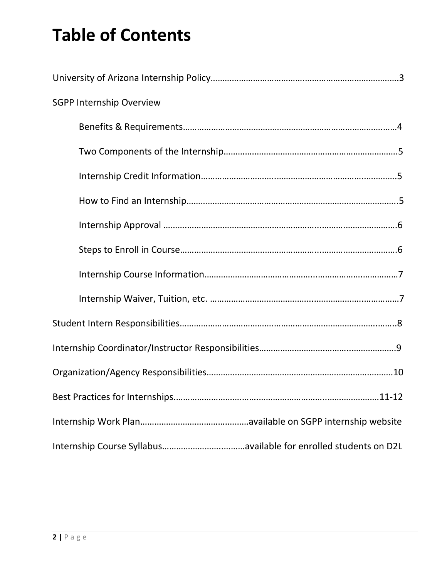# **Table of Contents**

| <b>SGPP Internship Overview</b> |
|---------------------------------|
|                                 |
|                                 |
|                                 |
|                                 |
|                                 |
|                                 |
|                                 |
|                                 |
|                                 |
|                                 |
|                                 |
|                                 |
|                                 |
|                                 |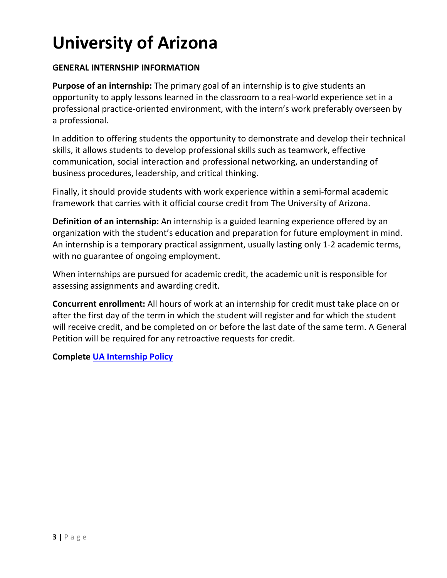# **University of Arizona**

#### **GENERAL INTERNSHIP INFORMATION**

**Purpose of an internship:** The primary goal of an internship is to give students an opportunity to apply lessons learned in the classroom to a real-world experience set in a professional practice-oriented environment, with the intern's work preferably overseen by a professional.

In addition to offering students the opportunity to demonstrate and develop their technical skills, it allows students to develop professional skills such as teamwork, effective communication, social interaction and professional networking, an understanding of business procedures, leadership, and critical thinking.

Finally, it should provide students with work experience within a semi-formal academic framework that carries with it official course credit from The University of Arizona.

**Definition of an internship:** An internship is a guided learning experience offered by an organization with the student's education and preparation for future employment in mind. An internship is a temporary practical assignment, usually lasting only 1-2 academic terms, with no guarantee of ongoing employment.

When internships are pursued for academic credit, the academic unit is responsible for assessing assignments and awarding credit.

**Concurrent enrollment:** All hours of work at an internship for credit must take place on or after the first day of the term in which the student will register and for which the student will receive credit, and be completed on or before the last date of the same term. A General Petition will be required for any retroactive requests for credit.

**Complete [UA Internship Policy](https://www.registrar.arizona.edu/sites/registrar.arizona.edu/files/forms/Internship%20Policies-Guidelines%205-6-19.pdf)**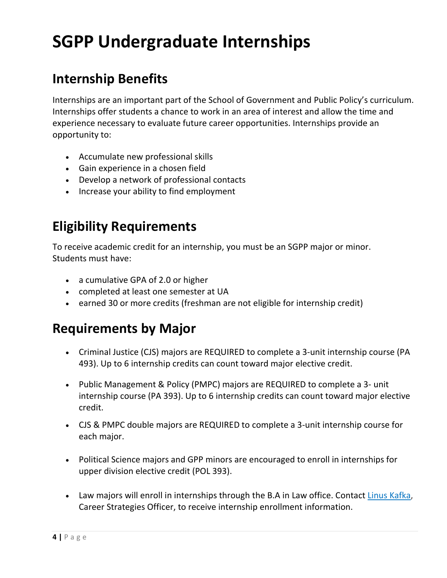## **SGPP Undergraduate Internships**

#### **Internship Benefits**

Internships are an important part of the School of Government and Public Policy's curriculum. Internships offer students a chance to work in an area of interest and allow the time and experience necessary to evaluate future career opportunities. Internships provide an opportunity to:

- Accumulate new professional skills
- Gain experience in a chosen field
- Develop a network of professional contacts
- Increase your ability to find employment

#### **Eligibility Requirements**

To receive academic credit for an internship, you must be an SGPP major or minor. Students must have:

- a cumulative GPA of 2.0 or higher
- completed at least one semester at UA
- earned 30 or more credits (freshman are not eligible for internship credit)

#### **Requirements by Major**

- Criminal Justice (CJS) majors are REQUIRED to complete a 3-unit internship course (PA 493). Up to 6 internship credits can count toward major elective credit.
- Public Management & Policy (PMPC) majors are REQUIRED to complete a 3- unit internship course (PA 393). Up to 6 internship credits can count toward major elective credit.
- CJS & PMPC double majors are REQUIRED to complete a 3-unit internship course for each major.
- Political Science majors and GPP minors are encouraged to enroll in internships for upper division elective credit (POL 393).
- Law majors will enroll in internships through the B.A in Law office. Contact [Linus Kafka,](mailto:lkafka@email.arizona.edu) Career Strategies Officer, to receive internship enrollment information.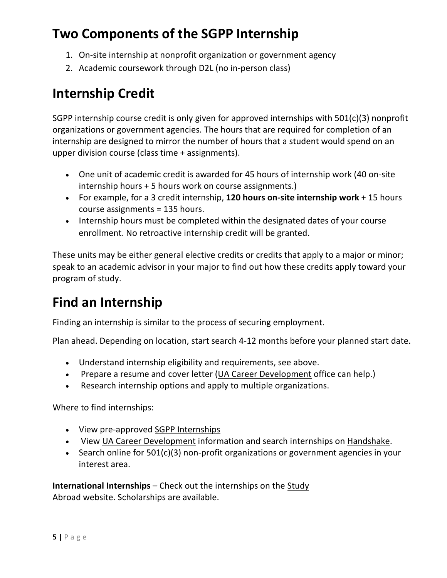#### **Two Components of the SGPP Internship**

- 1. On-site internship at nonprofit organization or government agency
- 2. Academic coursework through D2L (no in-person class)

#### **Internship Credit**

SGPP internship course credit is only given for approved internships with 501(c)(3) nonprofit organizations or government agencies. The hours that are required for completion of an internship are designed to mirror the number of hours that a student would spend on an upper division course (class time + assignments).

- One unit of academic credit is awarded for 45 hours of internship work (40 on-site internship hours + 5 hours work on course assignments.)
- For example, for a 3 credit internship, **120 hours on-site internship work** + 15 hours course assignments = 135 hours.
- Internship hours must be completed within the designated dates of your course enrollment. No retroactive internship credit will be granted.

These units may be either general elective credits or credits that apply to a major or minor; speak to an academic advisor in your major to find out how these credits apply toward your program of study.

#### **Find an Internship**

Finding an internship is similar to the process of securing employment.

Plan ahead. Depending on location, start search 4-12 months before your planned start date.

- Understand internship eligibility and requirements, see above.
- Prepare a resume and cover letter [\(UA Career Development](http://career.arizona.edu/) office can help.)
- Research internship options and apply to multiple organizations.

Where to find internships:

- View pre-approved [SGPP Internships](https://sgpp.arizona.edu/sgpp-internships/available-internships)
- View [UA Career Development](https://career.arizona.edu/) information and search internships on [Handshake.](https://career.arizona.edu/jobs/handshake)
- Search online for 501(c)(3) non-profit organizations or government agencies in your interest area.

**International Internships** – Check out the internships on the [Study](https://global.arizona.edu/study-abroad)  [Abroad](https://global.arizona.edu/study-abroad) website. Scholarships are available.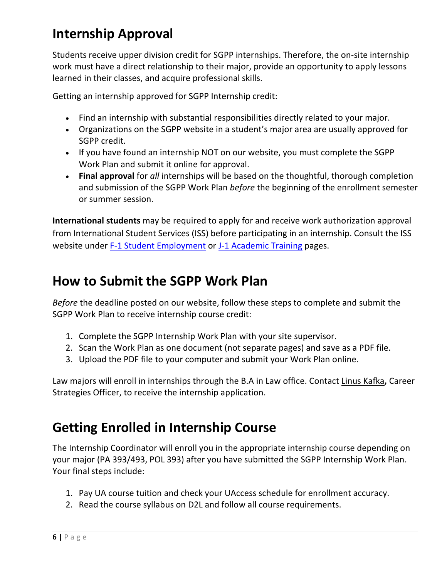## **Internship Approval**

Students receive upper division credit for SGPP internships. Therefore, the on-site internship work must have a direct relationship to their major, provide an opportunity to apply lessons learned in their classes, and acquire professional skills.

Getting an internship approved for SGPP Internship credit:

- Find an internship with substantial responsibilities directly related to your major.
- Organizations on the SGPP website in a student's major area are usually approved for SGPP credit.
- If you have found an internship NOT on our website, you must complete the SGPP [Work](https://sgpp.arizona.edu/sites/sgpp.arizona.edu/files/Internship%20Description%20for%20Orgs_2.docx) Plan and submit it online for approval.
- **Final approval** for *all* internships will be based on the thoughtful, thorough completion and submission of the SGPP Work Plan *before* the beginning of the enrollment semester or summer session.

**International students** may be required to apply for and receive work authorization approval from International Student Services (ISS) before participating in an internship. Consult the ISS website under [F-1 Student Employment](https://global.arizona.edu/international-students/f-1-student-employment) or [J-1 Academic Training](https://global.arizona.edu/international-students/j-1-students) pages.

#### **How to Submit the SGPP Work Plan**

*Before* the deadline posted on our website, follow these steps to complete and submit the SGPP Work Plan to receive internship course credit:

- 1. Complete the SGPP Internship Work Plan with your site supervisor.
- 2. Scan the Work Plan as one document (not separate pages) and save as a PDF file.
- 3. Upload the PDF file to your computer and submit your Work Plan online.

Law majors will enroll in internships through the B.A in Law office. Contact [Linus Kafka](mailto:lkafka@email.arizona.edu)**,** Career Strategies Officer, to receive the internship application.

#### **Getting Enrolled in Internship Course**

The Internship Coordinator will enroll you in the appropriate internship course depending on your major (PA 393/493, POL 393) after you have submitted the SGPP Internship Work Plan. Your final steps include:

- 1. Pay UA course tuition and check your UAccess schedule for enrollment accuracy.
- 2. Read the course syllabus on D2L and follow all course requirements.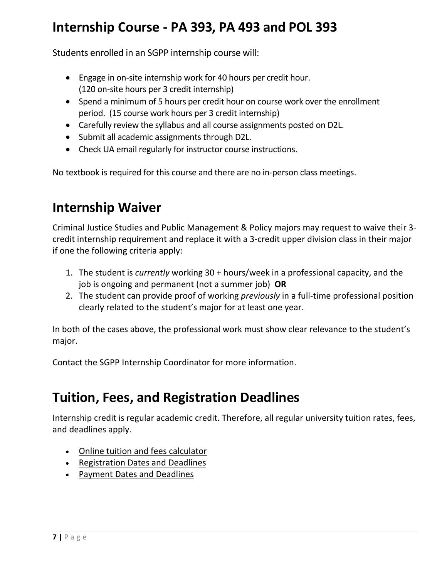#### **Internship Course - PA 393, PA 493 and POL 393**

Students enrolled in an SGPP internship course will:

- Engage in on-site internship work for 40 hours per credit hour. (120 on-site hours per 3 credit internship)
- Spend a minimum of 5 hours per credit hour on course work over the enrollment period. (15 course work hours per 3 credit internship)
- Carefully review the syllabus and all course assignments posted on D2L.
- Submit all academic assignments through D2L.
- Check UA email regularly for instructor course instructions.

No textbook is required for this course and there are no in-person class meetings.

#### **Internship Waiver**

Criminal Justice Studies and Public Management & Policy majors may request to waive their 3 credit internship requirement and replace it with a 3-credit upper division class in their major if one the following criteria apply:

- 1. The student is *currently* working 30 + hours/week in a professional capacity, and the job is ongoing and permanent (not a summer job) **OR**
- 2. The student can provide proof of working *previously* in a full-time professional position clearly related to the student's major for at least one year.

In both of the cases above, the professional work must show clear relevance to the student's major.

Contact the SGPP Internship Coordinator for more information.

#### **Tuition, Fees, and Registration Deadlines**

Internship credit is regular academic credit. Therefore, all regular university tuition rates, fees, and deadlines apply.

- [Online tuition and fees calculator](http://www.bursar.arizona.edu/students/fees)
- [Registration Dates and Deadlines](http://www.registrar.arizona.edu/schedules/dates.htm)
- [Payment Dates and Deadlines](https://bursar.arizona.edu/dates/deadlines)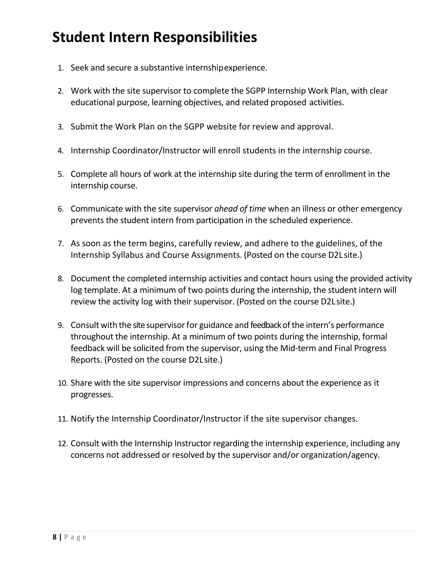## **Student Intern Responsibilities**

- 1. Seek and secure a substantive internshipexperience.
- 2. Work with the site supervisor to complete the SGPP Internship Work Plan, with clear educational purpose, learning objectives, and related proposed activities.
- 3. Submit the Work Plan on the SGPP website for review and approval.
- 4. Internship Coordinator/Instructor will enroll students in the internship course.
- 5. Complete all hours of work at the internship site during the term of enrollment in the internship course.
- 6. Communicate with the site supervisor *ahead of time* when an illness or other emergency prevents the student intern from participation in the scheduled experience.
- 7. As soon as the term begins, carefully review, and adhere to the guidelines, of the Internship Syllabus and Course Assignments. (Posted on the course D2L site.)
- 8. Document the completed internship activities and contact hours using the provided activity log template. At a minimum of two points during the internship, the student intern will review the activity log with their supervisor. (Posted on the course D2L site.)
- 9. Consult with the site supervisor for guidance and feedback of the intern's performance throughout the internship. At a minimum of two points during the internship, formal feedback will be solicited from the supervisor, using the Mid-term and Final Progress Reports. (Posted on the course D2Lsite.)
- 10. Share with the site supervisor impressions and concerns about the experience as it progresses.
- 11. Notify the Internship Coordinator/Instructor if the site supervisor changes.
- 12. Consult with the Internship Instructor regarding the internship experience, including any concerns not addressed or resolved by the supervisor and/or organization/agency.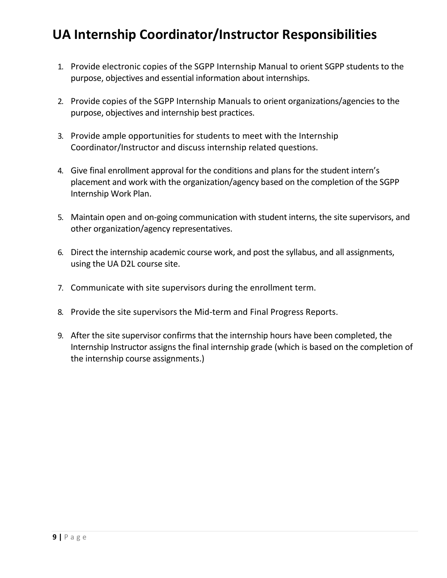## **UA Internship Coordinator/Instructor Responsibilities**

- 1. Provide electronic copies of the SGPP Internship Manual to orient SGPP students to the purpose, objectives and essential information about internships.
- 2. Provide copies of the SGPP Internship Manuals to orient organizations/agencies to the purpose, objectives and internship best practices.
- 3. Provide ample opportunities for students to meet with the Internship Coordinator/Instructor and discuss internship related questions.
- 4. Give final enrollment approval for the conditions and plans for the student intern's placement and work with the organization/agency based on the completion of the SGPP Internship Work Plan.
- 5. Maintain open and on-going communication with student interns, the site supervisors, and other organization/agency representatives.
- 6. Direct the internship academic course work, and post the syllabus, and all assignments, using the UA D2L course site.
- 7. Communicate with site supervisors during the enrollment term.
- 8. Provide the site supervisors the Mid-term and Final Progress Reports.
- 9. After the site supervisor confirms that the internship hours have been completed, the Internship Instructor assigns the final internship grade (which is based on the completion of the internship course assignments.)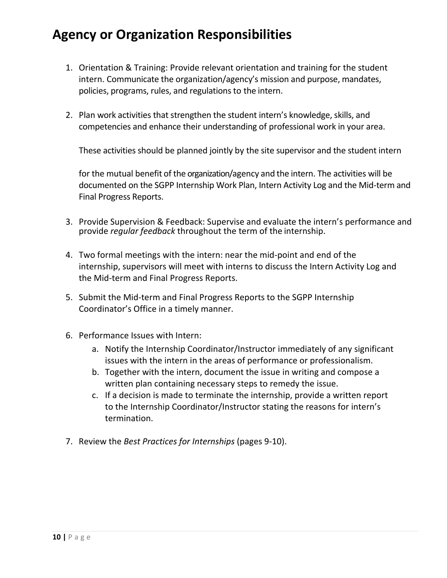#### **Agency or Organization Responsibilities**

- 1. Orientation & Training: Provide relevant orientation and training for the student intern. Communicate the organization/agency's mission and purpose, mandates, policies, programs, rules, and regulations to the intern.
- 2. Plan work activities that strengthen the student intern's knowledge, skills, and competencies and enhance their understanding of professional work in your area.

These activities should be planned jointly by the site supervisor and the student intern

for the mutual benefit of the organization/agency and the intern. The activities will be documented on the SGPP Internship Work Plan, Intern Activity Log and the Mid-term and Final Progress Reports.

- 3. Provide Supervision & Feedback: Supervise and evaluate the intern's performance and provide *regular feedback* throughout the term of the internship.
- 4. Two formal meetings with the intern: near the mid-point and end of the internship, supervisors will meet with interns to discuss the Intern Activity Log and the Mid-term and Final Progress Reports.
- 5. Submit the Mid-term and Final Progress Reports to the SGPP Internship Coordinator's Office in a timely manner.
- 6. Performance Issues with Intern:
	- a. Notify the Internship Coordinator/Instructor immediately of any significant issues with the intern in the areas of performance or professionalism.
	- b. Together with the intern, document the issue in writing and compose a written plan containing necessary steps to remedy the issue.
	- c. If a decision is made to terminate the internship, provide a written report to the Internship Coordinator/Instructor stating the reasons for intern's termination.
- 7. Review the *Best Practices for Internships* (pages 9-10).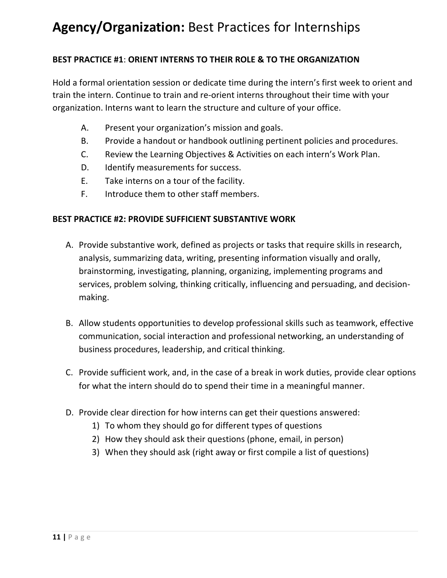#### **Agency/Organization:** Best Practices for Internships

#### **BEST PRACTICE #1**: **ORIENT INTERNS TO THEIR ROLE & TO THE ORGANIZATION**

Hold a formal orientation session or dedicate time during the intern's first week to orient and train the intern. Continue to train and re-orient interns throughout their time with your organization. Interns want to learn the structure and culture of your office.

- A. Present your organization's mission and goals.
- B. Provide a handout or handbook outlining pertinent policies and procedures.
- C. Review the Learning Objectives & Activities on each intern's Work Plan.
- D. Identify measurements for success.
- E. Take interns on a tour of the facility.
- F. Introduce them to other staff members.

#### **BEST PRACTICE #2: PROVIDE SUFFICIENT SUBSTANTIVE WORK**

- A. Provide substantive work, defined as projects or tasks that require skills in research, analysis, summarizing data, writing, presenting information visually and orally, brainstorming, investigating, planning, organizing, implementing programs and services, problem solving, thinking critically, influencing and persuading, and decisionmaking.
- B. Allow students opportunities to develop professional skills such as teamwork, effective communication, social interaction and professional networking, an understanding of business procedures, leadership, and critical thinking.
- C. Provide sufficient work, and, in the case of a break in work duties, provide clear options for what the intern should do to spend their time in a meaningful manner.
- D. Provide clear direction for how interns can get their questions answered:
	- 1) To whom they should go for different types of questions
	- 2) How they should ask their questions (phone, email, in person)
	- 3) When they should ask (right away or first compile a list of questions)